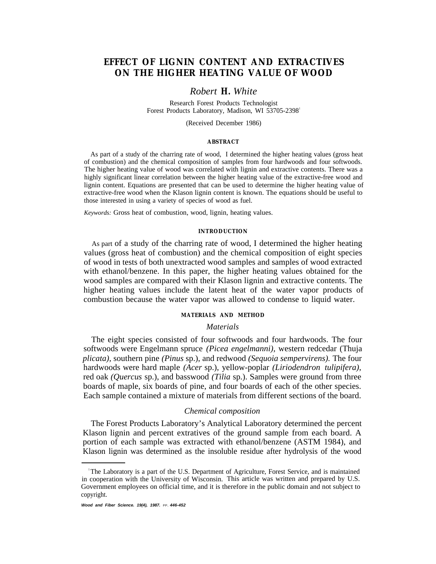# **EFFECT OF LIGNIN CONTENT AND EXTRACTIVES ON THE HIGHER HEATING VALUE OF WOOD**

## *Robert H. White*

Research Forest Products Technologist Forest Products Laboratory, Madison, WI 53705-2398<sup>1</sup>

(Received December 1986)

#### **ABSTRACT**

As part of a study of the charring rate of wood, I determined the higher heating values (gross heat of combustion) and the chemical composition of samples from four hardwoods and four softwoods. The higher heating value of wood was correlated with lignin and extractive contents. There was a highly significant linear correlation between the higher heating value of the extractive-free wood and lignin content. Equations are presented that can be used to determine the higher heating value of extractive-free wood when the Klason lignin content is known. The equations should be useful to those interested in using a variety of species of wood as fuel.

*Keywords:* Gross heat of combustion, wood, lignin, heating values.

#### **INTRODUCTION**

As part of a study of the charring rate of wood, I determined the higher heating values (gross heat of combustion) and the chemical composition of eight species of wood in tests of both unextracted wood samples and samples of wood extracted with ethanol/benzene. In this paper, the higher heating values obtained for the wood samples are compared with their Klason lignin and extractive contents. The higher heating values include the latent heat of the water vapor products of combustion because the water vapor was allowed to condense to liquid water.

### **MATERIALS AND METHOD**

### *Materials*

The eight species consisted of four softwoods and four hardwoods. The four softwoods were Engelmann spruce *(Picea engelmanni),* western redcedar (Thuja *plicata),* southern pine *(Pinus* sp.), and redwood *(Sequoia sempervirens).* The four hardwoods were hard maple *(Acer* sp.), yellow-poplar *(Liriodendron tulipifera),* red oak *(Quercus* sp.), and basswood *(Tilia* sp.). Samples were ground from three boards of maple, six boards of pine, and four boards of each of the other species. Each sample contained a mixture of materials from different sections of the board.

### *Chemical composition*

The Forest Products Laboratory's Analytical Laboratory determined the percent Klason lignin and percent extratives of the ground sample from each board. A portion of each sample was extracted with ethanol/benzene (ASTM 1984), and Klason lignin was determined as the insoluble residue after hydrolysis of the wood

<sup>1</sup>The Laboratory is a part of the U.S. Department of Agriculture, Forest Service, and is maintained in cooperation with the University of Wisconsin. This article was written and prepared by U.S. Government employees on official time, and it is therefore in the public domain and not subject to copyright.

**Wood and Fiber Science. 19(4), 1987.** PP. **446-452**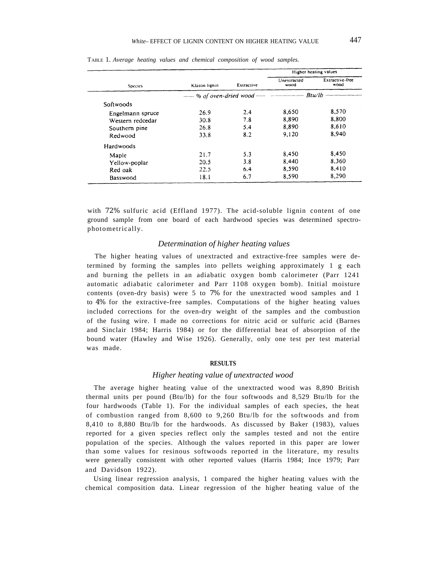| <b>Species</b>   | Klason lignin | Extractive | Higher heating values |                         |
|------------------|---------------|------------|-----------------------|-------------------------|
|                  |               |            | Unextracted<br>wood   | Extractive-free<br>wood |
|                  |               |            |                       |                         |
| Softwoods        |               |            |                       |                         |
| Engelmann spruce | 26.9          | 2.4        | 8.650                 | 8,570                   |
| Western redcedar | 30.8          | 7.8        | 8.890                 | 8.800                   |
| Southern pine    | 26.8          | 5.4        | 8.890                 | 8,610                   |
| Redwood          | 33.8          | 8.2        | 9.120                 | 8.940                   |
| Hardwoods        |               |            |                       |                         |
| Maple            | 21.7          | 5.3        | 8.450                 | 8.450                   |
| Yellow-poplar    | 20.5          | 3.8        | 8.440                 | 8,360                   |
| Red oak          | 22.5          | 6.4        | 8.590                 | 8.410                   |
| Basswood         | 18.1          | 6.7        | 8.590                 | 8,290                   |

TABLE 1. *Average heating values and chemical composition of wood samples.*

with 72% sulfuric acid (Effland 1977). The acid-soluble lignin content of one ground sample from one board of each hardwood species was determined spectrophotometrically.

### *Determination of higher heating values*

The higher heating values of unextracted and extractive-free samples were determined by forming the samples into pellets weighing approximately 1 g each and burning the pellets in an adiabatic oxygen bomb calorimeter (Parr 1241 automatic adiabatic calorimeter and Parr 1108 oxygen bomb). Initial moisture contents (oven-dry basis) were 5 to 7% for the unextracted wood samples and 1 to 4% for the extractive-free samples. Computations of the higher heating values included corrections for the oven-dry weight of the samples and the combustion of the fusing wire. I made no corrections for nitric acid or sulfuric acid (Barnes and Sinclair 1984; Harris 1984) or for the differential heat of absorption of the bound water (Hawley and Wise 1926). Generally, only one test per test material was made.

#### **RESULTS**

#### *Higher heating value of unextracted wood*

The average higher heating value of the unextracted wood was 8,890 British thermal units per pound (Btu/lb) for the four softwoods and 8,529 Btu/lb for the four hardwoods (Table 1). For the individual samples of each species, the heat of combustion ranged from 8,600 to 9,260 Btu/lb for the softwoods and from 8,410 to 8,880 Btu/lb for the hardwoods. As discussed by Baker (1983), values reported for a given species reflect only the samples tested and not the entire population of the species. Although the values reported in this paper are lower than some values for resinous softwoods reported in the literature, my results were generally consistent with other reported values (Harris 1984; Ince 1979; Parr and Davidson 1922).

Using linear regression analysis, 1 compared the higher heating values with the chemical composition data. Linear regression of the higher heating value of the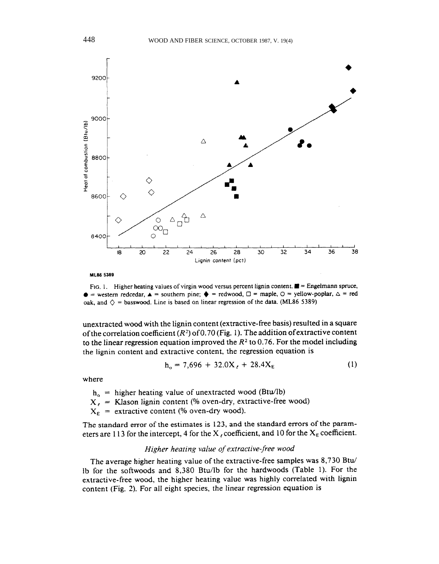

ML86 5389

FIG. 1. Higher heating values of virgin wood versus percent lignin content.  $\blacksquare$  = Engelmann spruce,  $\bullet$  = western redcedar,  $\blacktriangle$  = southern pine;  $\blacklozenge$  = redwood,  $\square$  = maple,  $\square$  = yellow-poplar,  $\square$  = red oak, and  $\diamondsuit$  = basswood. Line is based on linear regression of the data. (ML86 5389)

unextracted wood with the lignin content (extractive-free basis) resulted in a square of the correlation coefficient  $(R^2)$  of 0.70 (Fig. 1). The addition of extractive content to the linear regression equation improved the  $R<sup>2</sup>$  to 0.76. For the model including the lignin content and extractive content, the regression equation is

$$
h_o = 7{,}696 + 32.0Xt + 28.4XE
$$
 (1)

where

 $h_0$  = higher heating value of unextracted wood (Btu/lb)

 $X_t$  = Klason lignin content (% oven-dry, extractive-free wood)

 $X_E$  = extractive content (% oven-dry wood).

The standard error of the estimates is 123, and the standard errors of the parameters are 113 for the intercept, 4 for the X, coefficient, and 10 for the  $X_E$  coefficient.

## Higher heating value of extractive-free wood

The average higher heating value of the extractive-free samples was 8,730 Btu/ lb for the softwoods and 8,380 Btu/lb for the hardwoods (Table 1). For the extractive-free wood, the higher heating value was highly correlated with lignin content (Fig. 2). For all eight species, the linear regression equation is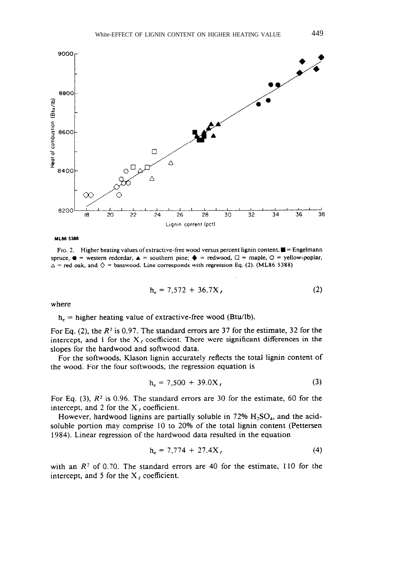

ML86 5388

FIG. 2. Higher heating values of extractive-free wood versus percent lignin content.  $\blacksquare$  = Engelmann spruce,  $\bullet$  = western redcedar,  $\bullet$  = southern pine;  $\bullet$  = redwood,  $\Box$  = maple,  $\circ$  = yellow-poplar,  $\Delta$  = red oak, and  $\Diamond$  = basswood. Line corresponds with regression Eq. (2). (ML86 5388)

$$
h_r = 7{,}572 + 36.7X,\t(2)
$$

where

 $h_e$  = higher heating value of extractive-free wood (Btu/lb).

For Eq. (2), the  $R^2$  is 0.97. The standard errors are 37 for the estimate, 32 for the intercept, and 1 for the  $X_t$  coefficient. There were significant differences in the slopes for the hardwood and softwood data.

For the softwoods, Klason lignin accurately reflects the total lignin content of the wood. For the four softwoods, the regression equation is

$$
h_r = 7{,}500 + 39.0X,\t(3)
$$

For Eq. (3),  $R^2$  is 0.96. The standard errors are 30 for the estimate, 60 for the intercept, and 2 for the  $X_i$  coefficient.

However, hardwood lignins are partially soluble in 72%  $H_2SO_4$ , and the acidsoluble portion may comprise 10 to 20% of the total lignin content (Pettersen 1984). Linear regression of the hardwood data resulted in the equation

$$
h_e = 7{,}774 + 27.4X_{\ell}
$$
 (4)

with an  $R<sup>2</sup>$  of 0.70. The standard errors are 40 for the estimate, 110 for the intercept, and 5 for the  $X_{\ell}$  coefficient.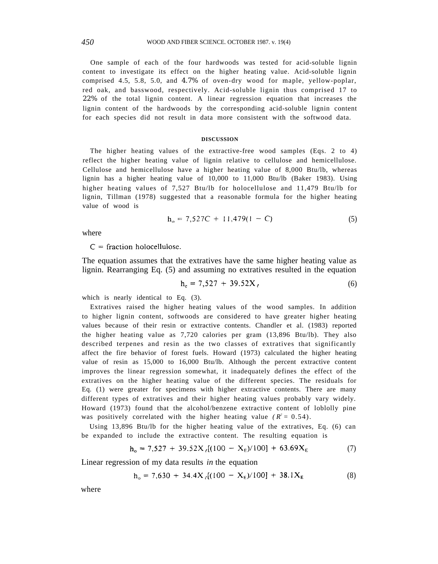One sample of each of the four hardwoods was tested for acid-soluble lignin content to investigate its effect on the higher heating value. Acid-soluble lignin comprised 4.5, 5.8, 5.0, and 4.7% of oven-dry wood for maple, yellow-poplar, red oak, and basswood, respectively. Acid-soluble lignin thus comprised 17 to 22% of the total lignin content. A linear regression equation that increases the lignin content of the hardwoods by the corresponding acid-soluble lignin content for each species did not result in data more consistent with the softwood data.

#### **DISCUSSION**

The higher heating values of the extractive-free wood samples (Eqs. 2 to 4) reflect the higher heating value of lignin relative to cellulose and hemicellulose. Cellulose and hemicellulose have a higher heating value of 8,000 Btu/lb, whereas lignin has a higher heating value of 10,000 to 11,000 Btu/lb (Baker 1983). Using higher heating values of 7,527 Btu/lb for holocellulose and 11,479 Btu/lb for lignin, Tillman (1978) suggested that a reasonable formula for the higher heating value of wood is

$$
h_o = 7,527C + 11,479(1 - C) \tag{5}
$$

where

 $C =$  fraction holocellulose.

The equation assumes that the extratives have the same higher heating value as lignin. Rearranging Eq. (5) and assuming no extratives resulted in the equation

$$
h_e = 7{,}527 + 39.52X_\ell
$$
 (6)

which is nearly identical to Eq.  $(3)$ .

Extratives raised the higher heating values of the wood samples. In addition to higher lignin content, softwoods are considered to have greater higher heating values because of their resin or extractive contents. Chandler et al. (1983) reported the higher heating value as 7,720 calories per gram (13,896 Btu/lb). They also described terpenes and resin as the two classes of extratives that significantly affect the fire behavior of forest fuels. Howard (1973) calculated the higher heating value of resin as 15,000 to 16,000 Btu/lb. Although the percent extractive content improves the linear regression somewhat, it inadequately defines the effect of the extratives on the higher heating value of the different species. The residuals for Eq. (1) were greater for specimens with higher extractive contents. There are many different types of extratives and their higher heating values probably vary widely. Howard (1973) found that the alcohol/benzene extractive content of loblolly pine was positively correlated with the higher heating value  $(R^2 = 0.54)$ .

Using 13,896 Btu/lb for the higher heating value of the extratives, Eq. (6) can be expanded to include the extractive content. The resulting equation is

$$
h_o = 7,527 + 39.52X_{\epsilon}[(100 - X_{\epsilon})/100] + 63.69X_{\epsilon}
$$
 (7)

Linear regression of my data results *in* the equation

$$
h_o = 7,630 + 34.4X_{\ell}[(100 - X_{\ell})/100] + 38.1X_{\ell}
$$
 (8)

where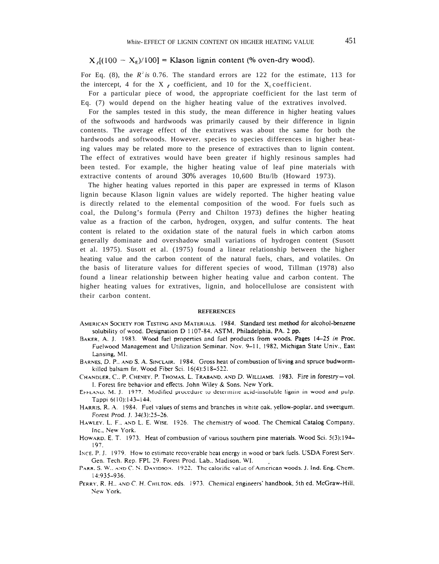$X_{\epsilon}[(100 - X_{\epsilon})/100] =$  Klason lignin content (% oven-dry wood).

For Eq. (8), the  $R^2$  *is* 0.76. The standard errors are 122 for the estimate, 113 for the intercept, 4 for the X  $_{\ell}$  coefficient, and 10 for the X<sub>E</sub> coefficient.

For a particular piece of wood, the appropriate coefficient for the last term of Eq. (7) would depend on the higher heating value of the extratives involved.

For the samples tested in this study, the mean difference in higher heating values of the softwoods and hardwoods was primarily caused by their difference in lignin contents. The average effect of the extratives was about the same for both the hardwoods and softwoods. However. species to species differences in higher heating values may be related more to the presence of extractives than to lignin content. The effect of extratives would have been greater if highly resinous samples had been tested. For example, the higher heating value of leaf pine materials with extractive contents of around 30% averages 10,600 Btu/lb (Howard 1973).

The higher heating values reported in this paper are expressed in terms of Klason lignin because Klason lignin values are widely reported. The higher heating value is directly related to the elemental composition of the wood. For fuels such as coal, the Dulong's formula (Perry and Chilton 1973) defines the higher heating value as a fraction of the carbon, hydrogen, oxygen, and sulfur contents. The heat content is related to the oxidation state of the natural fuels in which carbon atoms generally dominate and overshadow small variations of hydrogen content (Susott et al. 1975). Susott et al. (1975) found a linear relationship between the higher heating value and the carbon content of the natural fuels, chars, and volatiles. On the basis of literature values for different species of wood, Tillman (1978) also found a linear relationship between higher heating value and carbon content. The higher heating values for extratives, lignin, and holocellulose are consistent with their carbon content.

#### **REFERENCES**

- AMERICAN SOCIETY FOR TESTING AND MATERIALS. 1984. Standard test method for alcohol-benzene solubility of wood. Designation D 1107-84. ASTM, Philadelphia, PA. 2 pp.
- BAKER, A. J. 1983. Wood fuel properties and fuel products from woods. Pages 14-25 in Proc. Fuelwood Management and Utilization Seminar, Nov. 9-11, 1982, Michigan State Univ., East Lansing, MI.
- BARNES, D. P., AND S. A. SINCLAIR. 1984. Gross heat of combustion of living and spruce budwormkilled balsam fir. Wood Fiber Sci. 16(4):518-522.
- CHANDLER, C., P. CHENEY, P. THOMAS, L. TRABAND, AND D. WILLIAMS. 1983. Fire in forestry-vol. I. Forest fire behavior and effects. John Wiley & Sons, New York.
- EFFLAND, M. J. 1977. Modified procedure to determine acid-insoluble lignin in wood and pulp. Tappi 6(10):143-144.
- HARRIS, R. A. 1984. Fuel values of stems and branches in white oak, yellow-poplar, and sweetgum. Forest Prod. J. 34(3):25-26.
- HAWLEY, L. F., AND L. E. WISE. 1926. The chemistry of wood. The Chemical Catalog Company, Inc., New York.
- HOWARD, E. T. 1973. Heat of combustion of various southern pine materials. Wood Sci. 5(3):194-197.
- INCE, P. J. 1979. How to estimate recoverable heat energy in wood or bark fuels. USDA Forest Serv. Gen. Tech. Rep. FPL 29. Forest Prod. Lab., Madison, WI.
- PARR, S. W., AND C. N. DAVIDSON. 1922. The calorific value of American woods. J. Ind. Eng. Chem. 14:935-936.
- PERRY, R. H., AND C. H. CHILTON, eds. 1973. Chemical engineers' handbook, 5th ed. McGraw-Hill, New York